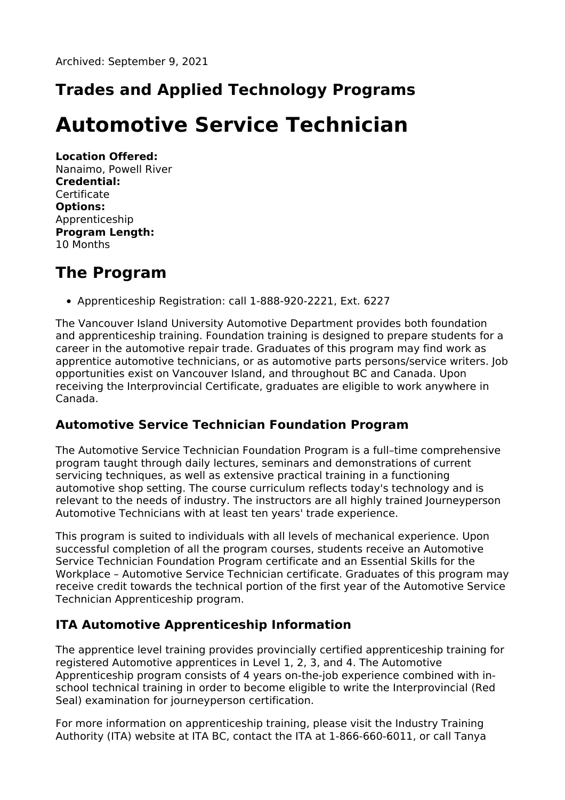## **Trades and Applied Technology Programs**

# **Automotive Service Technician**

**Location Offered:** Nanaimo, Powell River **Credential: Certificate Options:** Apprenticeship **Program Length:** 10 Months

### **The Program**

Apprenticeship Registration: call 1-888-920-2221, Ext. 6227

The Vancouver Island University Automotive Department provides both foundation and apprenticeship training. Foundation training is designed to prepare students for a career in the automotive repair trade. Graduates of this program may find work as apprentice automotive technicians, or as automotive parts persons/service writers. Job opportunities exist on Vancouver Island, and throughout BC and Canada. Upon receiving the Interprovincial Certificate, graduates are eligible to work anywhere in Canada.

### **Automotive Service Technician Foundation Program**

The Automotive Service Technician Foundation Program is a full–time comprehensive program taught through daily lectures, seminars and demonstrations of current servicing techniques, as well as extensive practical training in a functioning automotive shop setting. The course curriculum reflects today's technology and is relevant to the needs of industry. The instructors are all highly trained Journeyperson Automotive Technicians with at least ten years' trade experience.

This program is suited to individuals with all levels of mechanical experience. Upon successful completion of all the program courses, students receive an Automotive Service Technician Foundation Program certificate and an Essential Skills for the Workplace – Automotive Service Technician certificate. Graduates of this program may receive credit towards the technical portion of the first year of the Automotive Service Technician Apprenticeship program.

### **ITA Automotive Apprenticeship Information**

The apprentice level training provides provincially certified apprenticeship training for registered Automotive apprentices in Level 1, 2, 3, and 4. The Automotive Apprenticeship program consists of 4 years on-the-job experience combined with inschool technical training in order to become eligible to write the Interprovincial (Red Seal) examination for journeyperson certification.

For more information on apprenticeship training, please visit the Industry Training Authority (ITA) website at ITA BC, contact the ITA at 1-866-660-6011, or call Tanya